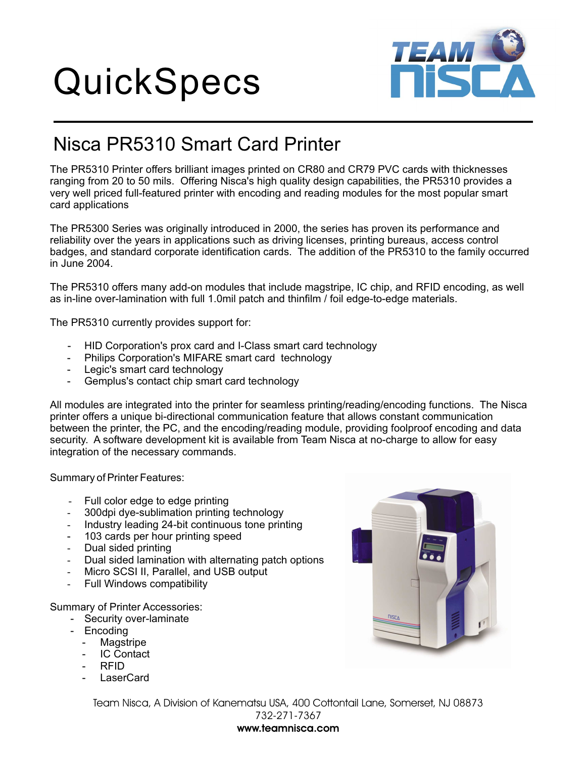## QuickSpecs



## Nisca PR5310 Smart Card Printer

The PR5310 Printer offers brilliant images printed on CR80 and CR79 PVC cards with thicknesses ranging from 20 to 50 mils. Offering Nisca's high quality design capabilities, the PR5310 provides a very well priced full-featured printer with encoding and reading modules for the most popular smart card applications

The PR5300 Series was originally introduced in 2000, the series has proven its performance and reliability over the years in applications such as driving licenses, printing bureaus, access control badges, and standard corporate identification cards. The addition of the PR5310 to the family occurred in June 2004.

The PR5310 offers many add-on modules that include magstripe, IC chip, and RFID encoding, as well as in-line over-lamination with full 1.0mil patch and thinfilm / foil edge-to-edge materials.

The PR5310 currently provides support for:

- HID Corporation's prox card and I-Class smart card technology
- Philips Corporation's MIFARE smart card technology
- Legic's smart card technology
- Gemplus's contact chip smart card technology

All modules are integrated into the printer for seamless printing/reading/encoding functions. The Nisca printer offers a unique bi-directional communication feature that allows constant communication between the printer, the PC, and the encoding/reading module, providing foolproof encoding and data security. A software development kit is available from Team Nisca at no-charge to allow for easy integration of the necessary commands.

Summary of Printer Features:

- Full color edge to edge printing -
- 300dpi dye-sublimation printing technology -
- Industry leading 24-bit continuous tone printing -
- 103 cards per hour printing speed
- Dual sided printing -
- Dual sided lamination with alternating patch options -
- Micro SCSI II, Parallel, and USB output -
- Full Windows compatibility -

Summary of Printer Accessories:

- Security over-laminate
- Encoding
	- Magstripe
	- **IC Contact**
	- RFID
	- LaserCard



Team Nisca, A Division of Kanematsu USA, 400 Cottontail Lane, Somerset, NJ 08873 732-271-7367

## **www.teamnisca.com**